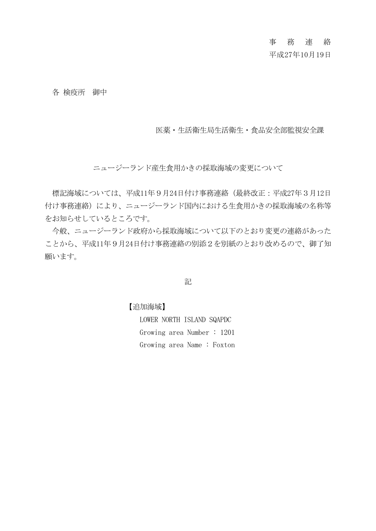## 事 務 連 絡

## 平成27年10月19日

各 検疫所 御中

医薬・生活衛生局生活衛生・食品安全部監視安全課

ニュージーランド産生食用かきの採取海域の変更について

標記海域については、平成11年9月24日付け事務連絡(最終改正:平成27年3月12日 付け事務連絡)により、ニュージーランド国内における生食用かきの採取海域の名称等 をお知らせしているところです。

今般、ニュージーランド政府から採取海域について以下のとおり変更の連絡があった ことから、平成11年9月24日付け事務連絡の別添2を別紙のとおり改めるので、御了知 願います。

記

【追加海域】

LOWER NORTH ISLAND SQAPDC Growing area Number : 1201 Growing area Name : Foxton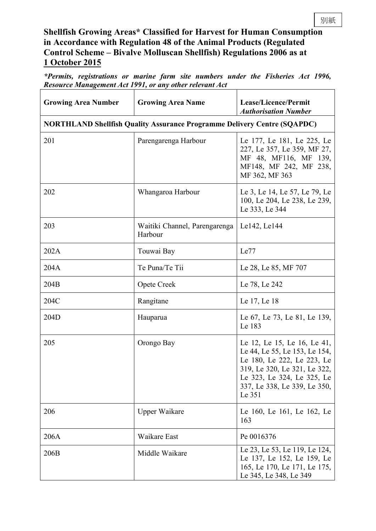## **Shellfish Growing Areas\* Classified for Harvest for Human Consumption in Accordance with Regulation 48 of the Animal Products (Regulated Control Scheme – Bivalve Molluscan Shellfish) Regulations 2006 as at 1 October 2015**

*\*Permits, registrations or marine farm site numbers under the Fisheries Act 1996, Resource Management Act 1991, or any other relevant Act*

| <b>Growing Area Number</b> | <b>Growing Area Name</b>                                                        | Lease/Licence/Permit<br><b>Authorisation Number</b>                                                                                                                                                |
|----------------------------|---------------------------------------------------------------------------------|----------------------------------------------------------------------------------------------------------------------------------------------------------------------------------------------------|
|                            | <b>NORTHLAND Shellfish Quality Assurance Programme Delivery Centre (SQAPDC)</b> |                                                                                                                                                                                                    |
| 201                        | Parengarenga Harbour                                                            | Le 177, Le 181, Le 225, Le<br>227, Le 357, Le 359, MF 27,<br>MF 48, MF116, MF 139,<br>MF148, MF 242, MF 238,<br>MF 362, MF 363                                                                     |
| 202                        | Whangaroa Harbour                                                               | Le 3, Le 14, Le 57, Le 79, Le<br>100, Le 204, Le 238, Le 239,<br>Le 333, Le 344                                                                                                                    |
| 203                        | Waitiki Channel, Parengarenga  <br>Harbour                                      | Le142, Le144                                                                                                                                                                                       |
| 202A                       | Touwai Bay                                                                      | Le77                                                                                                                                                                                               |
| 204A                       | Te Puna/Te Tii                                                                  | Le 28, Le 85, MF 707                                                                                                                                                                               |
| 204B                       | Opete Creek                                                                     | Le 78, Le 242                                                                                                                                                                                      |
| 204C                       | Rangitane                                                                       | Le 17, Le 18                                                                                                                                                                                       |
| 204D                       | Hauparua                                                                        | Le 67, Le 73, Le 81, Le 139,<br>Le 183                                                                                                                                                             |
| 205                        | Orongo Bay                                                                      | Le 12, Le 15, Le 16, Le 41,<br>Le 44, Le 55, Le 153, Le 154,<br>Le 180, Le 222, Le 223, Le<br>319, Le 320, Le 321, Le 322,<br>Le 323, Le 324, Le 325, Le<br>337, Le 338, Le 339, Le 350,<br>Le 351 |
| 206                        | <b>Upper Waikare</b>                                                            | Le 160, Le 161, Le 162, Le<br>163                                                                                                                                                                  |
| 206A                       | Waikare East                                                                    | Pe 0016376                                                                                                                                                                                         |
| 206B                       | Middle Waikare                                                                  | Le 23, Le 53, Le 119, Le 124,<br>Le 137, Le 152, Le 159, Le<br>165, Le 170, Le 171, Le 175,<br>Le 345, Le 348, Le 349                                                                              |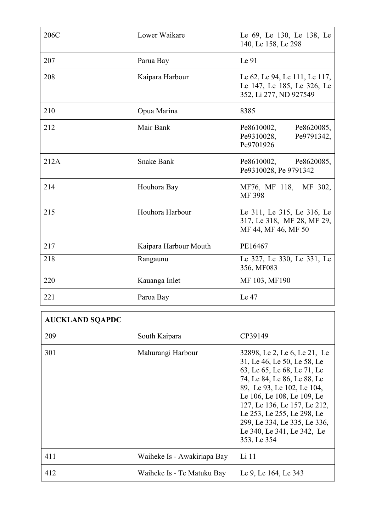| 206C | Lower Waikare         | Le 69, Le 130, Le 138, Le<br>140, Le 158, Le 298                                      |
|------|-----------------------|---------------------------------------------------------------------------------------|
| 207  | Parua Bay             | Le 91                                                                                 |
| 208  | Kaipara Harbour       | Le 62, Le 94, Le 111, Le 117,<br>Le 147, Le 185, Le 326, Le<br>352, Li 277, ND 927549 |
| 210  | Opua Marina           | 8385                                                                                  |
| 212  | Mair Bank             | Pe8610002,<br>Pe8620085,<br>Pe9310028,<br>Pe9791342,<br>Pe9701926                     |
| 212A | <b>Snake Bank</b>     | Pe8610002,<br>Pe8620085,<br>Pe9310028, Pe 9791342                                     |
| 214  | Houhora Bay           | MF76, MF 118, MF 302,<br><b>MF398</b>                                                 |
| 215  | Houhora Harbour       | Le 311, Le 315, Le 316, Le<br>317, Le 318, MF 28, MF 29,<br>MF 44, MF 46, MF 50       |
| 217  | Kaipara Harbour Mouth | PE16467                                                                               |
| 218  | Rangaunu              | Le 327, Le 330, Le 331, Le<br>356, MF083                                              |
| 220  | Kauanga Inlet         | MF 103, MF190                                                                         |
| 221  | Paroa Bay             | Le 47                                                                                 |

| <b>AUCKLAND SQAPDC</b> |                             |                                                                                                                                                                                                                                                                                                                                  |
|------------------------|-----------------------------|----------------------------------------------------------------------------------------------------------------------------------------------------------------------------------------------------------------------------------------------------------------------------------------------------------------------------------|
| 209                    | South Kaipara               | CP39149                                                                                                                                                                                                                                                                                                                          |
| 301                    | Mahurangi Harbour           | 32898, Le 2, Le 6, Le 21, Le<br>31, Le 46, Le 50, Le 58, Le<br>63, Le 65, Le 68, Le 71, Le<br>74, Le 84, Le 86, Le 88, Le<br>89, Le 93, Le 102, Le 104,<br>Le 106, Le 108, Le 109, Le<br>127, Le 136, Le 157, Le 212,<br>Le 253, Le 255, Le 298, Le<br>299, Le 334, Le 335, Le 336,<br>Le 340, Le 341, Le 342, Le<br>353, Le 354 |
| 411                    | Waiheke Is - Awakiriapa Bay | Li <sub>11</sub>                                                                                                                                                                                                                                                                                                                 |
| 412                    | Waiheke Is - Te Matuku Bay  | Le 9, Le 164, Le 343                                                                                                                                                                                                                                                                                                             |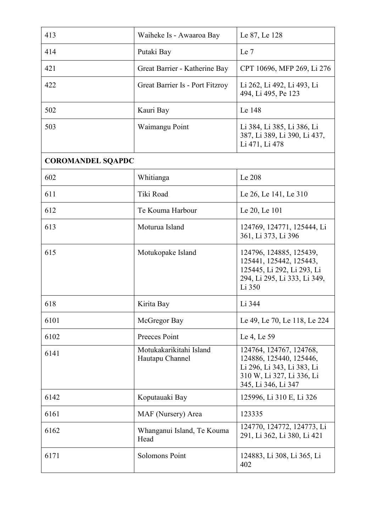| 413                      | Waiheke Is - Awaaroa Bay                   | Le 87, Le 128                                                                                                                        |
|--------------------------|--------------------------------------------|--------------------------------------------------------------------------------------------------------------------------------------|
| 414                      | Putaki Bay                                 | Le 7                                                                                                                                 |
| 421                      | Great Barrier - Katherine Bay              | CPT 10696, MFP 269, Li 276                                                                                                           |
| 422                      | Great Barrier Is - Port Fitzroy            | Li 262, Li 492, Li 493, Li<br>494, Li 495, Pe 123                                                                                    |
| 502                      | Kauri Bay                                  | Le 148                                                                                                                               |
| 503                      | Waimangu Point                             | Li 384, Li 385, Li 386, Li<br>387, Li 389, Li 390, Li 437,<br>Li 471, Li 478                                                         |
| <b>COROMANDEL SQAPDC</b> |                                            |                                                                                                                                      |
| 602                      | Whitianga                                  | Le 208                                                                                                                               |
| 611                      | Tiki Road                                  | Le 26, Le 141, Le 310                                                                                                                |
| 612                      | Te Kouma Harbour                           | Le 20, Le 101                                                                                                                        |
| 613                      | Moturua Island                             | 124769, 124771, 125444, Li<br>361, Li 373, Li 396                                                                                    |
| 615                      | Motukopake Island                          | 124796, 124885, 125439,<br>125441, 125442, 125443,<br>125445, Li 292, Li 293, Li<br>294, Li 295, Li 333, Li 349,<br>Li 350           |
| 618                      | Kirita Bay                                 | Li 344                                                                                                                               |
| 6101                     | McGregor Bay                               | Le 49, Le 70, Le 118, Le 224                                                                                                         |
| 6102                     | Preeces Point                              | Le 4, Le 59                                                                                                                          |
| 6141                     | Motukakarikitahi Island<br>Hautapu Channel | 124764, 124767, 124768,<br>124886, 125440, 125446,<br>Li 296, Li 343, Li 383, Li<br>310 W, Li 327, Li 336, Li<br>345, Li 346, Li 347 |
| 6142                     | Koputauaki Bay                             | 125996, Li 310 E, Li 326                                                                                                             |
| 6161                     | MAF (Nursery) Area                         | 123335                                                                                                                               |
| 6162                     | Whanganui Island, Te Kouma<br>Head         | 124770, 124772, 124773, Li<br>291, Li 362, Li 380, Li 421                                                                            |
| 6171                     | Solomons Point                             | 124883, Li 308, Li 365, Li<br>402                                                                                                    |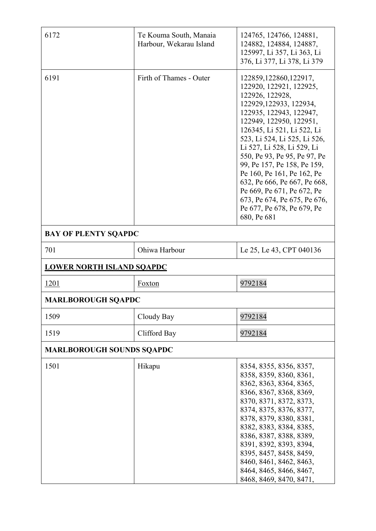| 6172                             | Te Kouma South, Manaia<br>Harbour, Wekarau Island | 124765, 124766, 124881,<br>124882, 124884, 124887,<br>125997, Li 357, Li 363, Li<br>376, Li 377, Li 378, Li 379                                                                                                                                                                                                                                                                                                                                                                            |  |
|----------------------------------|---------------------------------------------------|--------------------------------------------------------------------------------------------------------------------------------------------------------------------------------------------------------------------------------------------------------------------------------------------------------------------------------------------------------------------------------------------------------------------------------------------------------------------------------------------|--|
| 6191                             | Firth of Thames - Outer                           | 122859, 122860, 122917,<br>122920, 122921, 122925,<br>122926, 122928,<br>122929, 122933, 122934,<br>122935, 122943, 122947,<br>122949, 122950, 122951,<br>126345, Li 521, Li 522, Li<br>523, Li 524, Li 525, Li 526,<br>Li 527, Li 528, Li 529, Li<br>550, Pe 93, Pe 95, Pe 97, Pe<br>99, Pe 157, Pe 158, Pe 159,<br>Pe 160, Pe 161, Pe 162, Pe<br>632, Pe 666, Pe 667, Pe 668,<br>Pe 669, Pe 671, Pe 672, Pe<br>673, Pe 674, Pe 675, Pe 676,<br>Pe 677, Pe 678, Pe 679, Pe<br>680, Pe 681 |  |
| <b>BAY OF PLENTY SQAPDC</b>      |                                                   |                                                                                                                                                                                                                                                                                                                                                                                                                                                                                            |  |
| 701                              | Ohiwa Harbour                                     | Le 25, Le 43, CPT 040136                                                                                                                                                                                                                                                                                                                                                                                                                                                                   |  |
| <b>LOWER NORTH ISLAND SQAPDC</b> |                                                   |                                                                                                                                                                                                                                                                                                                                                                                                                                                                                            |  |
| 1201                             | Foxton                                            | 9792184                                                                                                                                                                                                                                                                                                                                                                                                                                                                                    |  |
| <b>MARLBOROUGH SQAPDC</b>        |                                                   |                                                                                                                                                                                                                                                                                                                                                                                                                                                                                            |  |
| 1509                             | Cloudy Bay                                        | 9792184                                                                                                                                                                                                                                                                                                                                                                                                                                                                                    |  |
| 1519                             | Clifford Bay                                      | 9792184                                                                                                                                                                                                                                                                                                                                                                                                                                                                                    |  |
| <b>MARLBOROUGH SOUNDS SQAPDC</b> |                                                   |                                                                                                                                                                                                                                                                                                                                                                                                                                                                                            |  |
| 1501                             | Hikapu                                            | 8354, 8355, 8356, 8357,<br>8358, 8359, 8360, 8361,<br>8362, 8363, 8364, 8365,<br>8366, 8367, 8368, 8369,<br>8370, 8371, 8372, 8373,<br>8374, 8375, 8376, 8377,<br>8378, 8379, 8380, 8381,<br>8382, 8383, 8384, 8385,<br>8386, 8387, 8388, 8389,<br>8391, 8392, 8393, 8394,<br>8395, 8457, 8458, 8459,<br>8460, 8461, 8462, 8463,<br>8464, 8465, 8466, 8467,<br>8468, 8469, 8470, 8471,                                                                                                     |  |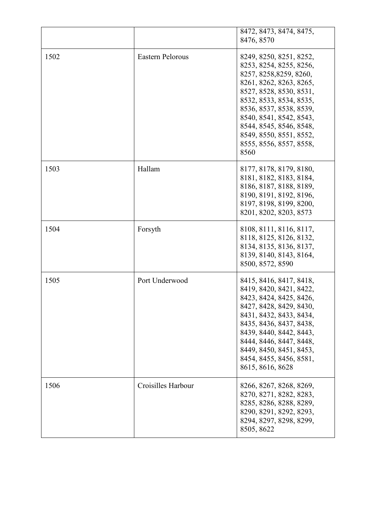|      |                    | 8472, 8473, 8474, 8475,<br>8476, 8570                                                                                                                                                                                                                                                                         |
|------|--------------------|---------------------------------------------------------------------------------------------------------------------------------------------------------------------------------------------------------------------------------------------------------------------------------------------------------------|
| 1502 | Eastern Pelorous   | 8249, 8250, 8251, 8252,<br>8253, 8254, 8255, 8256,<br>8257, 8258, 8259, 8260,<br>8261, 8262, 8263, 8265,<br>8527, 8528, 8530, 8531,<br>8532, 8533, 8534, 8535,<br>8536, 8537, 8538, 8539,<br>8540, 8541, 8542, 8543,<br>8544, 8545, 8546, 8548,<br>8549, 8550, 8551, 8552,<br>8555, 8556, 8557, 8558,<br>8560 |
| 1503 | Hallam             | 8177, 8178, 8179, 8180,<br>8181, 8182, 8183, 8184,<br>8186, 8187, 8188, 8189,<br>8190, 8191, 8192, 8196,<br>8197, 8198, 8199, 8200,<br>8201, 8202, 8203, 8573                                                                                                                                                 |
| 1504 | Forsyth            | 8108, 8111, 8116, 8117,<br>8118, 8125, 8126, 8132,<br>8134, 8135, 8136, 8137,<br>8139, 8140, 8143, 8164,<br>8500, 8572, 8590                                                                                                                                                                                  |
| 1505 | Port Underwood     | 8415, 8416, 8417, 8418,<br>8419, 8420, 8421, 8422,<br>8423, 8424, 8425, 8426,<br>8427, 8428, 8429, 8430,<br>8431, 8432, 8433, 8434,<br>8435, 8436, 8437, 8438,<br>8439, 8440, 8442, 8443,<br>8444, 8446, 8447, 8448,<br>8449, 8450, 8451, 8453,<br>8454, 8455, 8456, 8581,<br>8615, 8616, 8628                |
| 1506 | Croisilles Harbour | 8266, 8267, 8268, 8269,<br>8270, 8271, 8282, 8283,<br>8285, 8286, 8288, 8289,<br>8290, 8291, 8292, 8293,<br>8294, 8297, 8298, 8299,<br>8505, 8622                                                                                                                                                             |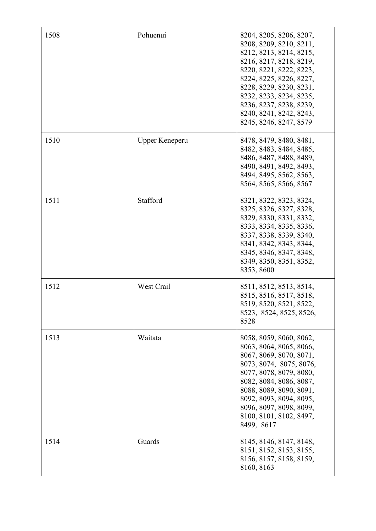| 1508 | Pohuenui       | 8204, 8205, 8206, 8207,<br>8208, 8209, 8210, 8211,<br>8212, 8213, 8214, 8215,<br>8216, 8217, 8218, 8219,<br>8220, 8221, 8222, 8223,<br>8224, 8225, 8226, 8227,<br>8228, 8229, 8230, 8231,<br>8232, 8233, 8234, 8235,<br>8236, 8237, 8238, 8239,<br>8240, 8241, 8242, 8243,<br>8245, 8246, 8247, 8579 |
|------|----------------|------------------------------------------------------------------------------------------------------------------------------------------------------------------------------------------------------------------------------------------------------------------------------------------------------|
| 1510 | Upper Keneperu | 8478, 8479, 8480, 8481,<br>8482, 8483, 8484, 8485,<br>8486, 8487, 8488, 8489,<br>8490, 8491, 8492, 8493,<br>8494, 8495, 8562, 8563,<br>8564, 8565, 8566, 8567                                                                                                                                        |
| 1511 | Stafford       | 8321, 8322, 8323, 8324,<br>8325, 8326, 8327, 8328,<br>8329, 8330, 8331, 8332,<br>8333, 8334, 8335, 8336,<br>8337, 8338, 8339, 8340,<br>8341, 8342, 8343, 8344,<br>8345, 8346, 8347, 8348,<br>8349, 8350, 8351, 8352,<br>8353, 8600                                                                   |
| 1512 | West Crail     | 8511, 8512, 8513, 8514,<br>8515, 8516, 8517, 8518,<br>8519, 8520, 8521, 8522,<br>8523, 8524, 8525, 8526,<br>8528                                                                                                                                                                                     |
| 1513 | Waitata        | 8058, 8059, 8060, 8062,<br>8063, 8064, 8065, 8066,<br>8067, 8069, 8070, 8071,<br>8073, 8074, 8075, 8076,<br>8077, 8078, 8079, 8080,<br>8082, 8084, 8086, 8087,<br>8088, 8089, 8090, 8091,<br>8092, 8093, 8094, 8095,<br>8096, 8097, 8098, 8099,<br>8100, 8101, 8102, 8497,<br>8499, 8617             |
| 1514 | Guards         | 8145, 8146, 8147, 8148,<br>8151, 8152, 8153, 8155,<br>8156, 8157, 8158, 8159,<br>8160, 8163                                                                                                                                                                                                          |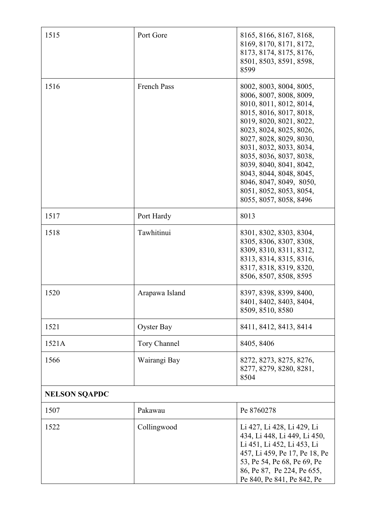| 1515                 | Port Gore      | 8165, 8166, 8167, 8168,<br>8169, 8170, 8171, 8172,<br>8173, 8174, 8175, 8176,<br>8501, 8503, 8591, 8598,<br>8599                                                                                                                                                                                                                                                                      |
|----------------------|----------------|---------------------------------------------------------------------------------------------------------------------------------------------------------------------------------------------------------------------------------------------------------------------------------------------------------------------------------------------------------------------------------------|
| 1516                 | French Pass    | 8002, 8003, 8004, 8005,<br>8006, 8007, 8008, 8009,<br>8010, 8011, 8012, 8014,<br>8015, 8016, 8017, 8018,<br>8019, 8020, 8021, 8022,<br>8023, 8024, 8025, 8026,<br>8027, 8028, 8029, 8030,<br>8031, 8032, 8033, 8034,<br>8035, 8036, 8037, 8038,<br>8039, 8040, 8041, 8042,<br>8043, 8044, 8048, 8045,<br>8046, 8047, 8049, 8050,<br>8051, 8052, 8053, 8054,<br>8055, 8057, 8058, 8496 |
| 1517                 | Port Hardy     | 8013                                                                                                                                                                                                                                                                                                                                                                                  |
| 1518                 | Tawhitinui     | 8301, 8302, 8303, 8304,<br>8305, 8306, 8307, 8308,<br>8309, 8310, 8311, 8312,<br>8313, 8314, 8315, 8316,<br>8317, 8318, 8319, 8320,<br>8506, 8507, 8508, 8595                                                                                                                                                                                                                         |
| 1520                 | Arapawa Island | 8397, 8398, 8399, 8400,<br>8401, 8402, 8403, 8404,<br>8509, 8510, 8580                                                                                                                                                                                                                                                                                                                |
| 1521                 | Oyster Bay     | 8411, 8412, 8413, 8414                                                                                                                                                                                                                                                                                                                                                                |
| 1521A                | Tory Channel   | 8405, 8406                                                                                                                                                                                                                                                                                                                                                                            |
| 1566                 | Wairangi Bay   | 8272, 8273, 8275, 8276,<br>8277, 8279, 8280, 8281,<br>8504                                                                                                                                                                                                                                                                                                                            |
| <b>NELSON SQAPDC</b> |                |                                                                                                                                                                                                                                                                                                                                                                                       |
| 1507                 | Pakawau        | Pe 8760278                                                                                                                                                                                                                                                                                                                                                                            |
| 1522                 | Collingwood    | Li 427, Li 428, Li 429, Li<br>434, Li 448, Li 449, Li 450,<br>Li 451, Li 452, Li 453, Li<br>457, Li 459, Pe 17, Pe 18, Pe<br>53, Pe 54, Pe 68, Pe 69, Pe<br>86, Pe 87, Pe 224, Pe 655,<br>Pe 840, Pe 841, Pe 842, Pe                                                                                                                                                                  |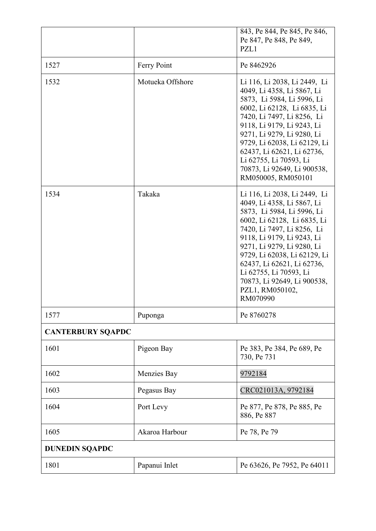|                          |                  | 843, Pe 844, Pe 845, Pe 846,<br>Pe 847, Pe 848, Pe 849,<br>PZL1                                                                                                                                                                                                                                                                                                         |
|--------------------------|------------------|-------------------------------------------------------------------------------------------------------------------------------------------------------------------------------------------------------------------------------------------------------------------------------------------------------------------------------------------------------------------------|
| 1527                     | Ferry Point      | Pe 8462926                                                                                                                                                                                                                                                                                                                                                              |
| 1532                     | Motueka Offshore | Li 116, Li 2038, Li 2449, Li<br>4049, Li 4358, Li 5867, Li<br>5873, Li 5984, Li 5996, Li<br>6002, Li 62128, Li 6835, Li<br>7420, Li 7497, Li 8256, Li<br>9118, Li 9179, Li 9243, Li<br>9271, Li 9279, Li 9280, Li<br>9729, Li 62038, Li 62129, Li<br>62437, Li 62621, Li 62736,<br>Li 62755, Li 70593, Li<br>70873, Li 92649, Li 900538,<br>RM050005, RM050101          |
| 1534                     | Takaka           | Li 116, Li 2038, Li 2449, Li<br>4049, Li 4358, Li 5867, Li<br>5873, Li 5984, Li 5996, Li<br>6002, Li 62128, Li 6835, Li<br>7420, Li 7497, Li 8256, Li<br>9118, Li 9179, Li 9243, Li<br>9271, Li 9279, Li 9280, Li<br>9729, Li 62038, Li 62129, Li<br>62437, Li 62621, Li 62736,<br>Li 62755, Li 70593, Li<br>70873, Li 92649, Li 900538,<br>PZL1, RM050102,<br>RM070990 |
| 1577                     | Puponga          | Pe 8760278                                                                                                                                                                                                                                                                                                                                                              |
| <b>CANTERBURY SQAPDC</b> |                  |                                                                                                                                                                                                                                                                                                                                                                         |
| 1601                     | Pigeon Bay       | Pe 383, Pe 384, Pe 689, Pe<br>730, Pe 731                                                                                                                                                                                                                                                                                                                               |
| 1602                     | Menzies Bay      | 9792184                                                                                                                                                                                                                                                                                                                                                                 |
| 1603                     | Pegasus Bay      | CRC021013A, 9792184                                                                                                                                                                                                                                                                                                                                                     |
| 1604                     | Port Levy        | Pe 877, Pe 878, Pe 885, Pe<br>886, Pe 887                                                                                                                                                                                                                                                                                                                               |
| 1605                     | Akaroa Harbour   | Pe 78, Pe 79                                                                                                                                                                                                                                                                                                                                                            |
| <b>DUNEDIN SQAPDC</b>    |                  |                                                                                                                                                                                                                                                                                                                                                                         |
| 1801                     | Papanui Inlet    | Pe 63626, Pe 7952, Pe 64011                                                                                                                                                                                                                                                                                                                                             |